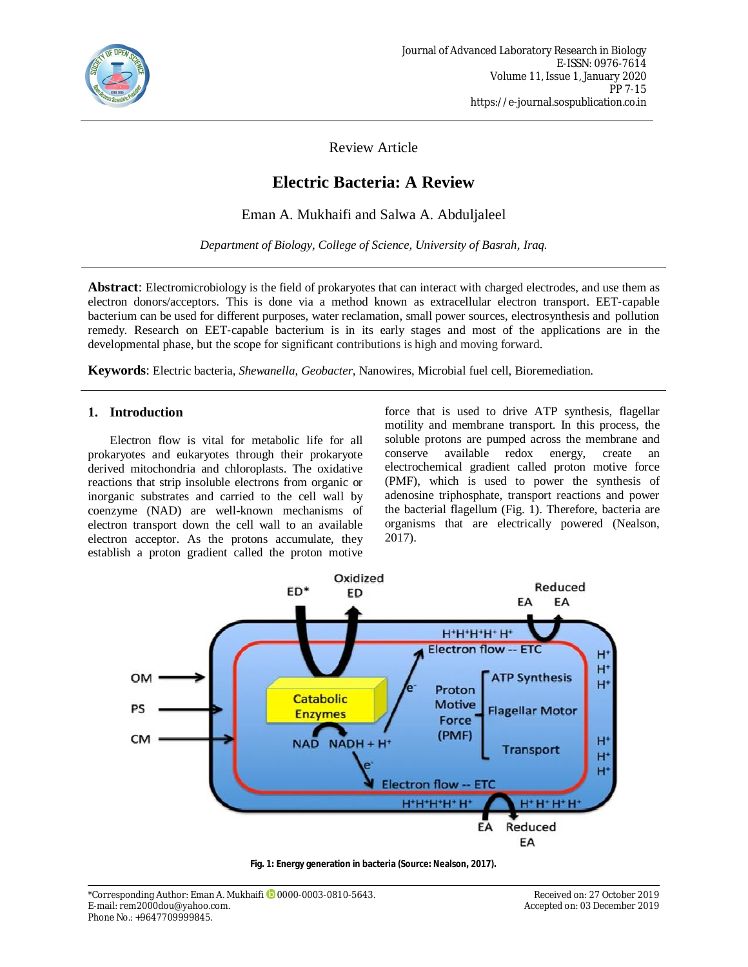

Review Article

# **Electric Bacteria: A Review**

Eman A. Mukhaifi and Salwa A. Abduljaleel

*Department of Biology, College of Science, University of Basrah, Iraq.*

**Abstract**: Electromicrobiology is the field of prokaryotes that can interact with charged electrodes, and use them as electron donors/acceptors. This is done via a method known as extracellular electron transport. EET‐capable bacterium can be used for different purposes, water reclamation, small power sources, electrosynthesis and pollution remedy. Research on EET-capable bacterium is in its early stages and most of the applications are in the developmental phase, but the scope for significant contributions is high and moving forward.

**Keywords**: Electric bacteria, *Shewanella*, *Geobacter*, Nanowires, Microbial fuel cell, Bioremediation*.*

# **1. Introduction**

Electron flow is vital for metabolic life for all prokaryotes and eukaryotes through their prokaryote derived mitochondria and chloroplasts. The oxidative reactions that strip insoluble electrons from organic or inorganic substrates and carried to the cell wall by coenzyme (NAD) are well-known mechanisms of electron transport down the cell wall to an available electron acceptor. As the protons accumulate, they establish a proton gradient called the proton motive force that is used to drive ATP synthesis, flagellar motility and membrane transport. In this process, the soluble protons are pumped across the membrane and conserve available redox energy, create an electrochemical gradient called proton motive force (PMF), which is used to power the synthesis of adenosine triphosphate, transport reactions and power the bacterial flagellum (Fig. 1). Therefore, bacteria are organisms that are electrically powered (Nealson, 2017).



**Fig. 1: Energy generation in bacteria (Source: Nealson, 2017).**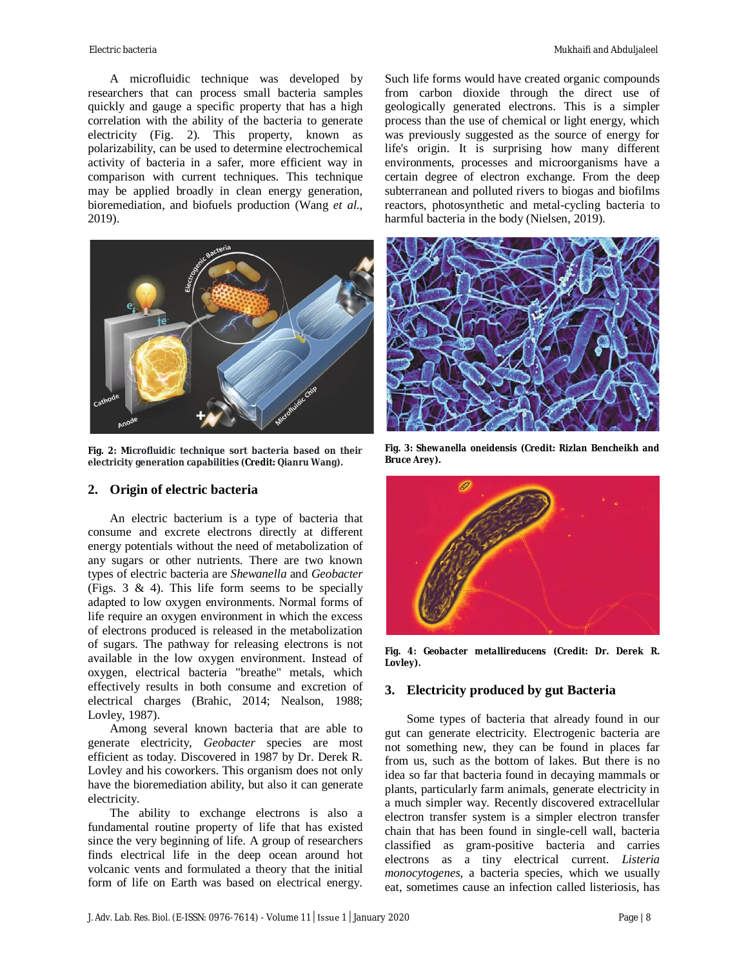A microfluidic technique was developed by researchers that can process small bacteria samples quickly and gauge a specific property that has a high correlation with the ability of the bacteria to generate electricity (Fig. 2). This property, known as polarizability, can be used to determine electrochemical activity of bacteria in a safer, more efficient way in comparison with current techniques. This technique may be applied broadly in clean energy generation, bioremediation, and biofuels production (Wang *et al.*, 2019).



**Fig. 2: Microfluidic technique sort bacteria based on their electricity generation capabilities (Credit: Qianru Wang).**

## **2. Origin of electric bacteria**

An electric bacterium is a type of bacteria that consume and excrete electrons directly at different energy potentials without the need of metabolization of any sugars or other nutrients. There are two known types of electric bacteria are *Shewanella* and *Geobacter* (Figs. 3 & 4). This life form seems to be specially adapted to low oxygen environments. Normal forms of life require an oxygen environment in which the excess of electrons produced is released in the metabolization of sugars. The pathway for releasing electrons is not available in the low oxygen environment. Instead of oxygen, electrical bacteria "breathe" metals, which effectively results in both consume and excretion of electrical charges (Brahic, 2014; Nealson, 1988; Lovley, 1987).

Among several known bacteria that are able to generate electricity, *Geobacter* species are most efficient as today. Discovered in 1987 by Dr. Derek R. Lovley and his coworkers. This organism does not only have the bioremediation ability, but also it can generate electricity.

The ability to exchange electrons is also a fundamental routine property of life that has existed since the very beginning of life. A group of researchers finds electrical life in the deep ocean around hot volcanic vents and formulated a theory that the initial form of life on Earth was based on electrical energy.

Such life forms would have created organic compounds from carbon dioxide through the direct use of geologically generated electrons. This is a simpler process than the use of chemical or light energy, which was previously suggested as the source of energy for life's origin. It is surprising how many different environments, processes and microorganisms have a certain degree of electron exchange. From the deep subterranean and polluted rivers to biogas and biofilms reactors, photosynthetic and metal-cycling bacteria to harmful bacteria in the body (Nielsen, 2019).



**Fig. 3:** *Shewanella oneidensis* **(Credit: Rizlan Bencheikh and Bruce Arey).**



**Fig. 4:** *Geobacter metallireducens* **(Credit: Dr. Derek R. Lovley).**

#### **3. Electricity produced by gut Bacteria**

Some types of bacteria that already found in our gut can generate electricity. Electrogenic bacteria are not something new, they can be found in places far from us, such as the bottom of lakes. But there is no idea so far that bacteria found in decaying mammals or plants, particularly farm animals, generate electricity in a much simpler way. Recently discovered extracellular electron transfer system is a simpler electron transfer chain that has been found in single-cell wall, bacteria classified as gram-positive bacteria and carries electrons as a tiny electrical current. *Listeria monocytogenes*, a bacteria species, which we usually eat, sometimes cause an infection called listeriosis, has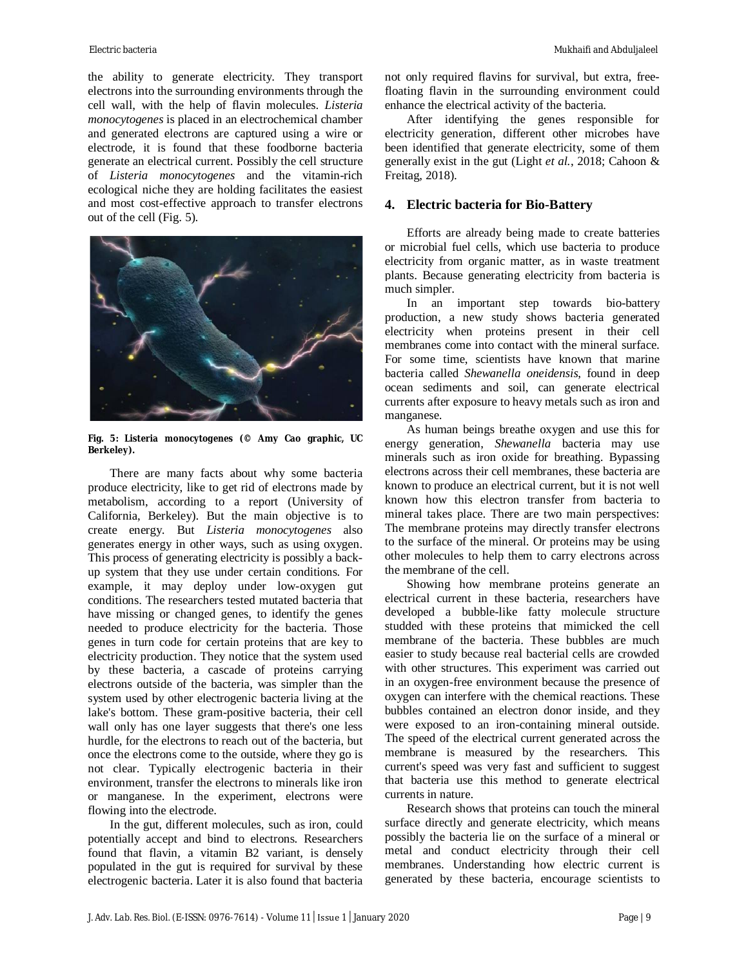the ability to generate electricity. They transport electrons into the surrounding environments through the cell wall, with the help of flavin molecules. *Listeria monocytogenes* is placed in an electrochemical chamber and generated electrons are captured using a wire or electrode, it is found that these foodborne bacteria generate an electrical current. Possibly the cell structure of *Listeria monocytogenes* and the vitamin-rich ecological niche they are holding facilitates the easiest and most cost-effective approach to transfer electrons out of the cell (Fig. 5).



**Fig. 5:** *Listeria monocytogenes* **(© Amy Cao graphic, UC Berkeley).**

There are many facts about why some bacteria produce electricity, like to get rid of electrons made by metabolism, according to a report (University of California, Berkeley). But the main objective is to create energy. But *Listeria monocytogenes* also generates energy in other ways, such as using oxygen. This process of generating electricity is possibly a backup system that they use under certain conditions. For example, it may deploy under low-oxygen gut conditions. The researchers tested mutated bacteria that have missing or changed genes, to identify the genes needed to produce electricity for the bacteria. Those genes in turn code for certain proteins that are key to electricity production. They notice that the system used by these bacteria, a cascade of proteins carrying electrons outside of the bacteria, was simpler than the system used by other electrogenic bacteria living at the lake's bottom. These gram-positive bacteria, their cell wall only has one layer suggests that there's one less hurdle, for the electrons to reach out of the bacteria, but once the electrons come to the outside, where they go is not clear. Typically electrogenic bacteria in their environment, transfer the electrons to minerals like iron or manganese. In the experiment, electrons were flowing into the electrode.

In the gut, different molecules, such as iron, could potentially accept and bind to electrons. Researchers found that flavin, a vitamin B2 variant, is densely populated in the gut is required for survival by these electrogenic bacteria. Later it is also found that bacteria not only required flavins for survival, but extra, freefloating flavin in the surrounding environment could enhance the electrical activity of the bacteria.

After identifying the genes responsible for electricity generation, different other microbes have been identified that generate electricity, some of them generally exist in the gut (Light *et al.*, 2018; Cahoon & Freitag, 2018).

#### **4. Electric bacteria for Bio-Battery**

Efforts are already being made to create batteries or microbial fuel cells, which use bacteria to produce electricity from organic matter, as in waste treatment plants. Because generating electricity from bacteria is much simpler.

In an important step towards bio-battery production, a new study shows bacteria generated electricity when proteins present in their cell membranes come into contact with the mineral surface. For some time, scientists have known that marine bacteria called *Shewanella oneidensis*, found in deep ocean sediments and soil, can generate electrical currents after exposure to heavy metals such as iron and manganese.

As human beings breathe oxygen and use this for energy generation, *Shewanella* bacteria may use minerals such as iron oxide for breathing. Bypassing electrons across their cell membranes, these bacteria are known to produce an electrical current, but it is not well known how this electron transfer from bacteria to mineral takes place. There are two main perspectives: The membrane proteins may directly transfer electrons to the surface of the mineral. Or proteins may be using other molecules to help them to carry electrons across the membrane of the cell.

Showing how membrane proteins generate an electrical current in these bacteria, researchers have developed a bubble-like fatty molecule structure studded with these proteins that mimicked the cell membrane of the bacteria. These bubbles are much easier to study because real bacterial cells are crowded with other structures. This experiment was carried out in an oxygen-free environment because the presence of oxygen can interfere with the chemical reactions. These bubbles contained an electron donor inside, and they were exposed to an iron-containing mineral outside. The speed of the electrical current generated across the membrane is measured by the researchers. This current's speed was very fast and sufficient to suggest that bacteria use this method to generate electrical currents in nature.

Research shows that proteins can touch the mineral surface directly and generate electricity, which means possibly the bacteria lie on the surface of a mineral or metal and conduct electricity through their cell membranes. Understanding how electric current is generated by these bacteria, encourage scientists to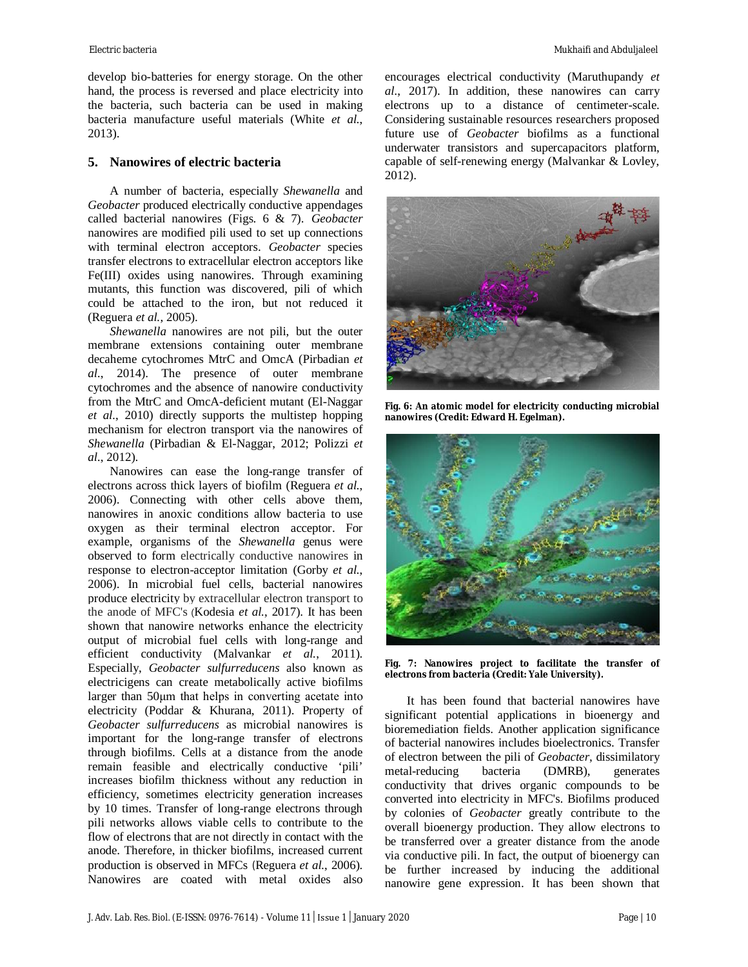develop bio-batteries for energy storage. On the other hand, the process is reversed and place electricity into the bacteria, such bacteria can be used in making bacteria manufacture useful materials (White *et al.*, 2013).

## **5. Nanowires of electric bacteria**

A number of bacteria, especially *Shewanella* and *Geobacter* produced electrically conductive appendages called bacterial nanowires (Figs. 6 & 7). *Geobacter* nanowires are modified pili used to set up connections with terminal electron acceptors. *Geobacter* species transfer electrons to extracellular electron acceptors like Fe(III) oxides using nanowires. Through examining mutants, this function was discovered, pili of which could be attached to the iron, but not reduced it (Reguera *et al.*, 2005).

*Shewanella* nanowires are not pili, but the outer membrane extensions containing outer membrane decaheme cytochromes MtrC and OmcA (Pirbadian *et al.*, 2014). The presence of outer membrane cytochromes and the absence of nanowire conductivity from the MtrC and OmcA-deficient mutant (El-Naggar *et al.*, 2010) directly supports the multistep hopping mechanism for electron transport via the nanowires of *Shewanella* (Pirbadian & El-Naggar, 2012; Polizzi *et al.*, 2012).

Nanowires can ease the long-range transfer of electrons across thick layers of biofilm (Reguera *et al.*, 2006). Connecting with other cells above them, nanowires in anoxic conditions allow bacteria to use oxygen as their terminal electron acceptor. For example, organisms of the *Shewanella* genus were observed to form electrically conductive nanowires in response to electron-acceptor limitation (Gorby *et al.*, 2006). In microbial fuel cells, bacterial nanowires produce electricity by extracellular electron transport to the anode of MFC's (Kodesia *et al.*, 2017). It has been shown that nanowire networks enhance the electricity output of microbial fuel cells with long-range and efficient conductivity (Malvankar *et al.*, 2011). Especially, *Geobacter sulfurreducens* also known as electricigens can create metabolically active biofilms larger than 50μm that helps in converting acetate into electricity (Poddar & Khurana, 2011). Property of *Geobacter sulfurreducens* as microbial nanowires is important for the long-range transfer of electrons through biofilms. Cells at a distance from the anode remain feasible and electrically conductive 'pili' increases biofilm thickness without any reduction in efficiency, sometimes electricity generation increases by 10 times. Transfer of long-range electrons through pili networks allows viable cells to contribute to the flow of electrons that are not directly in contact with the anode. Therefore, in thicker biofilms, increased current production is observed in MFCs (Reguera *et al.*, 2006). Nanowires are coated with metal oxides also

encourages electrical conductivity (Maruthupandy *et al.*, 2017). In addition, these nanowires can carry electrons up to a distance of centimeter-scale. Considering sustainable resources researchers proposed future use of *Geobacter* biofilms as a functional underwater transistors and supercapacitors platform, capable of self-renewing energy (Malvankar & Lovley, 2012).



**Fig. 6: An atomic model for electricity conducting microbial nanowires (Credit: Edward H. Egelman).**



**Fig. 7: Nanowires project to facilitate the transfer of electrons from bacteria (Credit: Yale University).**

It has been found that bacterial nanowires have significant potential applications in bioenergy and bioremediation fields. Another application significance of bacterial nanowires includes bioelectronics. Transfer of electron between the pili of *Geobacter*, dissimilatory metal-reducing bacteria (DMRB), generates conductivity that drives organic compounds to be converted into electricity in MFC's. Biofilms produced by colonies of *Geobacter* greatly contribute to the overall bioenergy production. They allow electrons to be transferred over a greater distance from the anode via conductive pili. In fact, the output of bioenergy can be further increased by inducing the additional nanowire gene expression. It has been shown that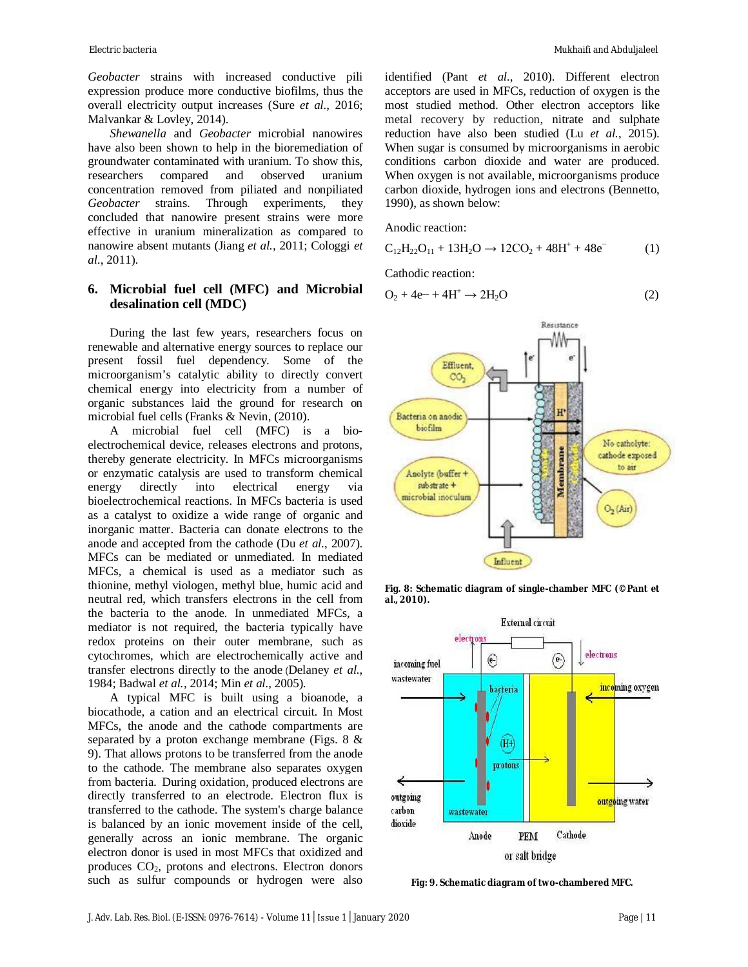*Geobacter* strains with increased conductive pili expression produce more conductive biofilms, thus the overall electricity output increases (Sure *et al.*, 2016; Malvankar & Lovley, 2014).

*Shewanella* and *Geobacter* microbial nanowires have also been shown to help in the bioremediation of groundwater contaminated with uranium. To show this, researchers compared and observed uranium concentration removed from piliated and nonpiliated *Geobacter* strains. Through experiments, they concluded that nanowire present strains were more effective in uranium mineralization as compared to nanowire absent mutants (Jiang *et al.*, 2011; Cologgi *et al.*, 2011).

# **6. Microbial fuel cell (MFC) and Microbial desalination cell (MDC)**

During the last few years, researchers focus on renewable and alternative energy sources to replace our present fossil fuel dependency. Some of the microorganism's catalytic ability to directly convert chemical energy into electricity from a number of organic substances laid the ground for research on microbial fuel cells (Franks & Nevin, (2010).

A microbial fuel cell (MFC) is a bioelectrochemical device, releases electrons and protons, thereby generate electricity. In MFCs microorganisms or enzymatic catalysis are used to transform chemical energy directly into electrical energy via bioelectrochemical reactions. In MFCs bacteria is used as a catalyst to oxidize a wide range of organic and inorganic matter. Bacteria can donate electrons to the anode and accepted from the cathode (Du *et al.*, 2007). MFCs can be mediated or unmediated. In mediated MFCs, a chemical is used as a mediator such as thionine, methyl viologen, methyl blue, humic acid and neutral red, which transfers electrons in the cell from the bacteria to the anode. In unmediated MFCs, a mediator is not required, the bacteria typically have redox proteins on their outer membrane, such as cytochromes, which are electrochemically active and transfer electrons directly to the anode (Delaney *et al.*, 1984; Badwal *et al.*, 2014; Min *et al.*, 2005).

A typical MFC is built using a bioanode, a biocathode, a cation and an electrical circuit. In Most MFCs, the anode and the cathode compartments are separated by a proton exchange membrane (Figs. 8 & 9). That allows protons to be transferred from the anode to the cathode. The membrane also separates oxygen from bacteria. During oxidation, produced electrons are directly transferred to an electrode. Electron flux is transferred to the cathode. The system's charge balance is balanced by an ionic movement inside of the cell, generally across an ionic membrane. The organic electron donor is used in most MFCs that oxidized and produces  $CO<sub>2</sub>$ , protons and electrons. Electron donors such as sulfur compounds or hydrogen were also

identified (Pant *et al.*, 2010). Different electron acceptors are used in MFCs, reduction of oxygen is the most studied method. Other electron acceptors like metal recovery by reduction, nitrate and sulphate reduction have also been studied (Lu *et al.*, 2015). When sugar is consumed by microorganisms in aerobic conditions carbon dioxide and water are produced. When oxygen is not available, microorganisms produce carbon dioxide, hydrogen ions and electrons (Bennetto, 1990), as shown below:

Anodic reaction:

$$
C_{12}H_{22}O_{11} + 13H_2O \rightarrow 12CO_2 + 48H^+ + 48e^-
$$
 (1)

Cathodic reaction:

$$
O_2 + 4e^- + 4H^+ \rightarrow 2H_2O
$$
 (2)



**Fig. 8: Schematic diagram of single-chamber MFC (©Pant** *et al.***, 2010).**



**Fig: 9. Schematic diagram of two-chambered MFC.**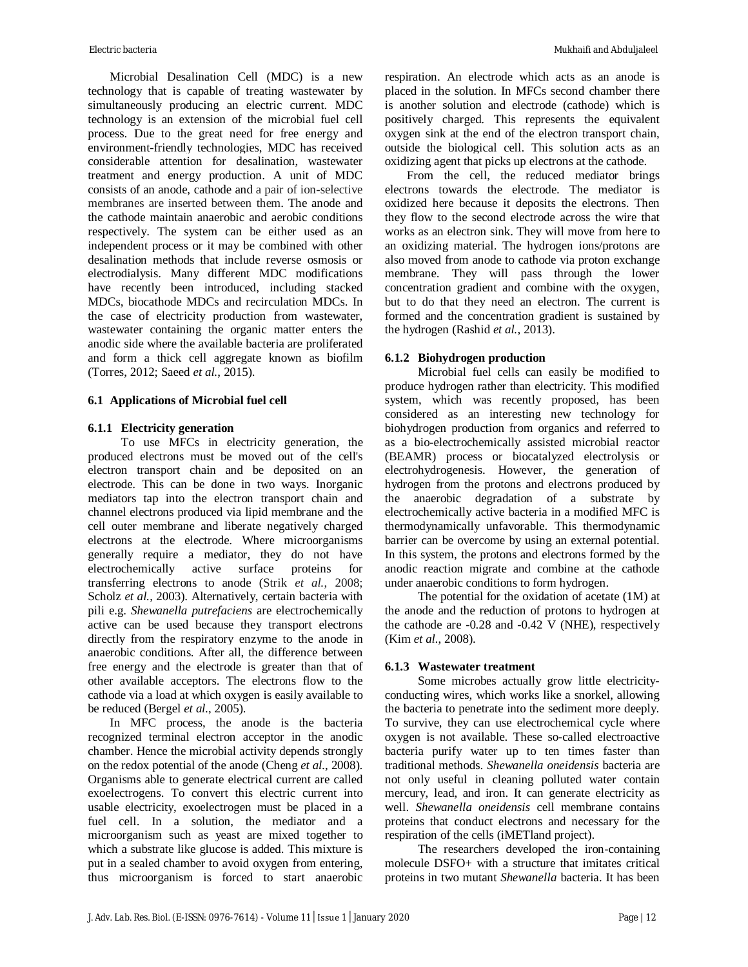Microbial Desalination Cell (MDC) is a new technology that is capable of treating wastewater by simultaneously producing an electric current. MDC technology is an extension of the microbial fuel cell process. Due to the great need for free energy and environment-friendly technologies, MDC has received considerable attention for desalination, wastewater treatment and energy production. A unit of MDC consists of an anode, cathode and a pair of ion-selective membranes are inserted between them. The anode and the cathode maintain anaerobic and aerobic conditions respectively. The system can be either used as an independent process or it may be combined with other desalination methods that include reverse osmosis or electrodialysis. Many different MDC modifications have recently been introduced, including stacked MDCs, biocathode MDCs and recirculation MDCs. In the case of electricity production from wastewater, wastewater containing the organic matter enters the anodic side where the available bacteria are proliferated and form a thick cell aggregate known as biofilm (Torres, 2012; Saeed *et al.*, 2015).

#### **6.1 Applications of Microbial fuel cell**

#### **6.1.1 Electricity generation**

To use MFCs in electricity generation, the produced electrons must be moved out of the cell's electron transport chain and be deposited on an electrode. This can be done in two ways. Inorganic mediators tap into the electron transport chain and channel electrons produced via lipid membrane and the cell outer membrane and liberate negatively charged electrons at the electrode. Where microorganisms generally require a mediator, they do not have electrochemically active surface proteins for transferring electrons to anode (Strik *et al.*, 2008; Scholz et al., 2003). Alternatively, certain bacteria with pili e.g. *Shewanella putrefaciens* are electrochemically active can be used because they transport electrons directly from the respiratory enzyme to the anode in anaerobic conditions. After all, the difference between free energy and the electrode is greater than that of other available acceptors. The electrons flow to the cathode via a load at which oxygen is easily available to be reduced (Bergel *et al.*, 2005).

In MFC process, the anode is the bacteria recognized terminal electron acceptor in the anodic chamber. Hence the microbial activity depends strongly on the redox potential of the anode (Cheng *et al.*, 2008). Organisms able to generate electrical current are called exoelectrogens. To convert this electric current into usable electricity, exoelectrogen must be placed in a fuel cell. In a solution, the mediator and a microorganism such as yeast are mixed together to which a substrate like glucose is added. This mixture is put in a sealed chamber to avoid oxygen from entering, thus microorganism is forced to start anaerobic respiration. An electrode which acts as an anode is placed in the solution. In MFCs second chamber there is another solution and electrode (cathode) which is positively charged. This represents the equivalent oxygen sink at the end of the electron transport chain, outside the biological cell. This solution acts as an oxidizing agent that picks up electrons at the cathode.

From the cell, the reduced mediator brings electrons towards the electrode. The mediator is oxidized here because it deposits the electrons. Then they flow to the second electrode across the wire that works as an electron sink. They will move from here to an oxidizing material. The hydrogen ions/protons are also moved from anode to cathode via proton exchange membrane. They will pass through the lower concentration gradient and combine with the oxygen, but to do that they need an electron. The current is formed and the concentration gradient is sustained by the hydrogen (Rashid *et al.*, 2013).

#### **6.1.2 Biohydrogen production**

Microbial fuel cells can easily be modified to produce hydrogen rather than electricity. This modified system, which was recently proposed, has been considered as an interesting new technology for biohydrogen production from organics and referred to as a bio-electrochemically assisted microbial reactor (BEAMR) process or biocatalyzed electrolysis or electrohydrogenesis. However, the generation of hydrogen from the protons and electrons produced by the anaerobic degradation of a substrate by electrochemically active bacteria in a modified MFC is thermodynamically unfavorable. This thermodynamic barrier can be overcome by using an external potential. In this system, the protons and electrons formed by the anodic reaction migrate and combine at the cathode under anaerobic conditions to form hydrogen.

The potential for the oxidation of acetate (1M) at the anode and the reduction of protons to hydrogen at the cathode are -0.28 and -0.42 V (NHE), respectively (Kim *et al.*, 2008).

#### **6.1.3 Wastewater treatment**

Some microbes actually grow little electricityconducting wires, which works like a snorkel, allowing the bacteria to penetrate into the sediment more deeply. To survive, they can use electrochemical cycle where oxygen is not available. These so-called electroactive bacteria purify water up to ten times faster than traditional methods. *Shewanella oneidensis* bacteria are not only useful in cleaning polluted water contain mercury, lead, and iron. It can generate electricity as well. *Shewanella oneidensis* cell membrane contains proteins that conduct electrons and necessary for the respiration of the cells (iMETland project).

The researchers developed the iron-containing molecule DSFO+ with a structure that imitates critical proteins in two mutant *Shewanella* bacteria. It has been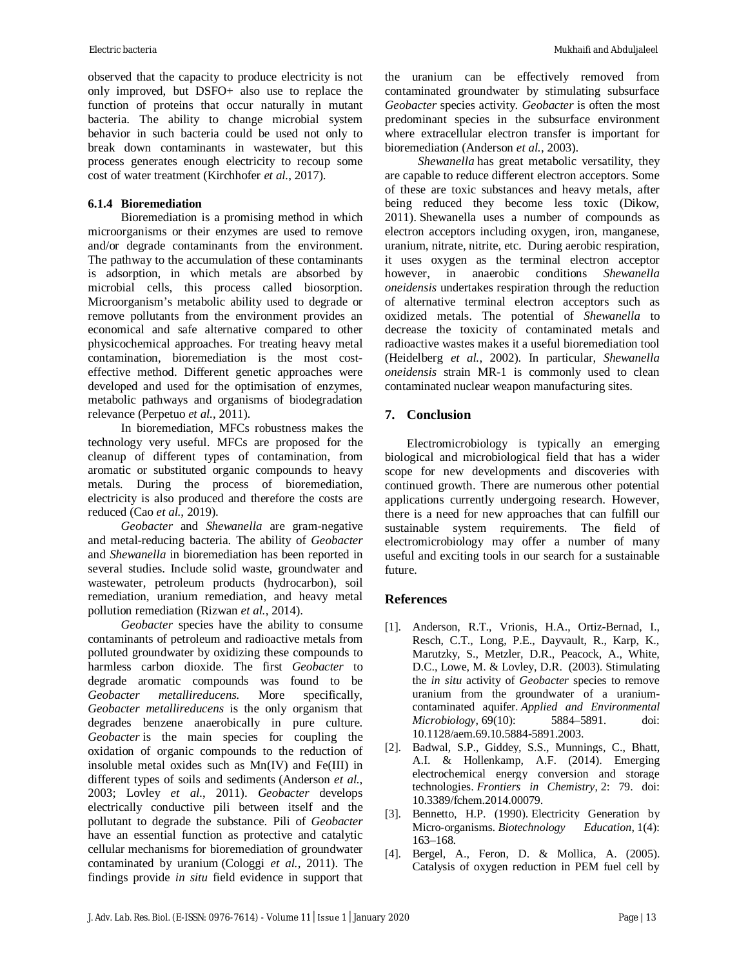observed that the capacity to produce electricity is not only improved, but DSFO+ also use to replace the function of proteins that occur naturally in mutant bacteria. The ability to change microbial system behavior in such bacteria could be used not only to break down contaminants in wastewater, but this process generates enough electricity to recoup some cost of water treatment (Kirchhofer *et al.*, 2017).

## **6.1.4 Bioremediation**

Bioremediation is a promising method in which microorganisms or their enzymes are used to remove and/or degrade contaminants from the environment. The pathway to the accumulation of these contaminants is adsorption, in which metals are absorbed by microbial cells, this process called biosorption. Microorganism's metabolic ability used to degrade or remove pollutants from the environment provides an economical and safe alternative compared to other physicochemical approaches. For treating heavy metal contamination, bioremediation is the most costeffective method. Different genetic approaches were developed and used for the optimisation of enzymes, metabolic pathways and organisms of biodegradation relevance (Perpetuo *et al.*, 2011).

In bioremediation, MFCs robustness makes the technology very useful. MFCs are proposed for the cleanup of different types of contamination, from aromatic or substituted organic compounds to heavy metals. During the process of bioremediation, electricity is also produced and therefore the costs are reduced (Cao *et al.*, 2019).

*Geobacter* and *Shewanella* are gram-negative and metal-reducing bacteria. The ability of *Geobacter* and *Shewanella* in bioremediation has been reported in several studies. Include solid waste, groundwater and wastewater, petroleum products (hydrocarbon), soil remediation, uranium remediation, and heavy metal pollution remediation (Rizwan *et al.*, 2014).

*Geobacter* species have the ability to consume contaminants of petroleum and radioactive metals from polluted groundwater by oxidizing these compounds to harmless carbon dioxide. The first *Geobacter* to degrade aromatic compounds was found to be *Geobacter metallireducens*. More specifically, *Geobacter metallireducens* is the only organism that degrades benzene anaerobically in pure culture. *Geobacter* is the main species for coupling the oxidation of organic compounds to the reduction of insoluble metal oxides such as Mn(IV) and Fe(III) in different types of soils and sediments (Anderson *et al.*, 2003; Lovley *et al.*, 2011). *Geobacter* develops electrically conductive pili between itself and the pollutant to degrade the substance. Pili of *Geobacter* have an essential function as protective and catalytic cellular mechanisms for bioremediation of groundwater contaminated by uranium (Cologgi *et al.*, 2011). The findings provide *in situ* field evidence in support that

the uranium can be effectively removed from contaminated groundwater by stimulating subsurface *Geobacter* species activity. *Geobacter* is often the most predominant species in the subsurface environment where extracellular electron transfer is important for bioremediation (Anderson *et al.*, 2003).

*Shewanella* has great metabolic versatility, they are capable to reduce different electron acceptors. Some of these are toxic substances and heavy metals, after being reduced they become less toxic (Dikow, 2011). Shewanella uses a number of compounds as electron acceptors including oxygen, iron, manganese, uranium, nitrate, nitrite, etc. During aerobic respiration, it uses oxygen as the terminal electron acceptor however, in anaerobic conditions *Shewanella oneidensis* undertakes respiration through the reduction of alternative terminal electron acceptors such as oxidized metals. The potential of *Shewanella* to decrease the toxicity of contaminated metals and radioactive wastes makes it a useful bioremediation tool (Heidelberg *et al.*, 2002). In particular, *Shewanella oneidensis* strain MR-1 is commonly used to clean contaminated nuclear weapon manufacturing sites.

## **7. Conclusion**

Electromicrobiology is typically an emerging biological and microbiological field that has a wider scope for new developments and discoveries with continued growth. There are numerous other potential applications currently undergoing research. However, there is a need for new approaches that can fulfill our sustainable system requirements. The field of electromicrobiology may offer a number of many useful and exciting tools in our search for a sustainable future.

## **References**

- [1]. Anderson, R.T., Vrionis, H.A., Ortiz-Bernad, I., Resch, C.T., Long, P.E., Dayvault, R., Karp, K., Marutzky, S., Metzler, D.R., Peacock, A., White, D.C., Lowe, M. & Lovley, D.R. (2003). Stimulating the *in situ* activity of *Geobacter* species to remove uranium from the groundwater of a uraniumcontaminated aquifer. *Applied and Environmental Microbiology*, 69(10): 5884–5891. doi: 10.1128/aem.69.10.5884-5891.2003.
- [2]. Badwal, S.P., Giddey, S.S., Munnings, C., Bhatt, A.I. & Hollenkamp, A.F. (2014). Emerging electrochemical energy conversion and storage technologies. *Frontiers in Chemistry*, 2: 79. doi: 10.3389/fchem.2014.00079.
- [3]. Bennetto, H.P. (1990). Electricity Generation by Micro-organisms. *Biotechnology Education*, 1(4): 163–168.
- [4]. Bergel, A., Feron, D. & Mollica, A. (2005). Catalysis of oxygen reduction in PEM fuel cell by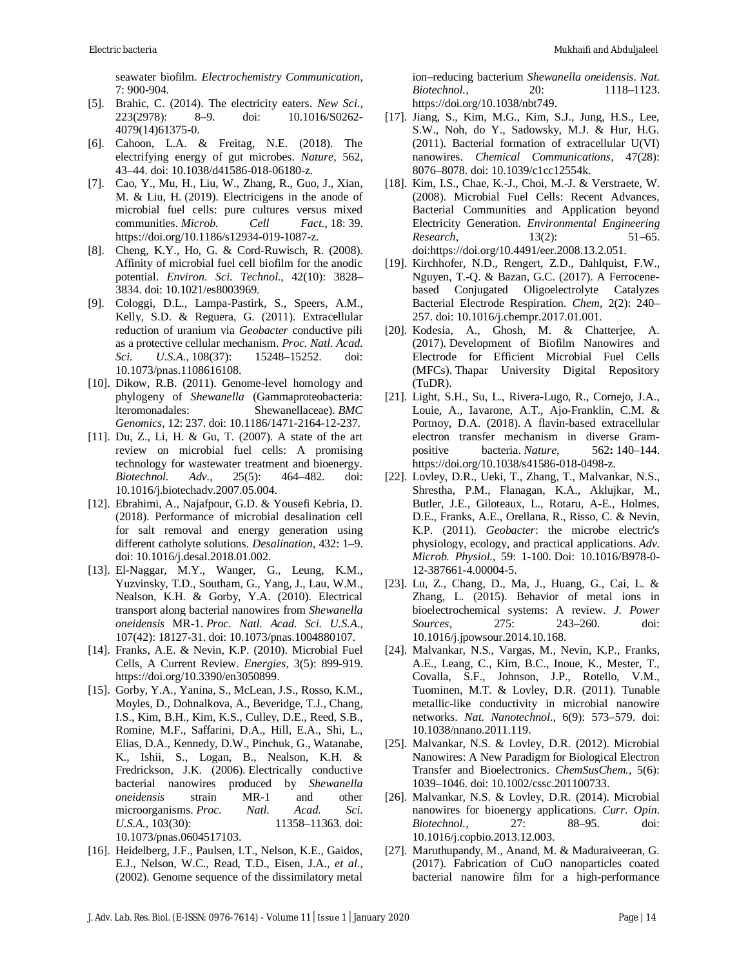seawater biofilm. *Electrochemistry Communication*, 7: 900-904.

- [5]. Brahic, C. (2014). The electricity eaters. *New Sci.*, 223(2978): 8–9. doi: 10.1016/S0262- 4079(14)61375-0.
- [6]. Cahoon, L.A. & Freitag, N.E. (2018). The electrifying energy of gut microbes. *Nature*, 562, 43–44. doi: 10.1038/d41586-018-06180-z.
- [7]. Cao, Y., Mu, H., Liu, W., Zhang, R., Guo, J., Xian, M. & Liu, H. (2019). Electricigens in the anode of microbial fuel cells: pure cultures versus mixed communities. *Microb. Cell Fact.*, 18: 39. <https://doi.org/10.1186/s12934-019-1087-z.>
- [8]. Cheng, K.Y., Ho, G. & Cord-Ruwisch, R. (2008). Affinity of microbial fuel cell biofilm for the anodic potential. *Environ. Sci. Technol.*, 42(10): 3828– 3834. doi: 10.1021/es8003969.
- [9]. Cologgi, D.L., Lampa-Pastirk, S., Speers, A.M., Kelly, S.D. & Reguera, G. (2011). Extracellular reduction of uranium via *Geobacter* conductive pili as a protective cellular mechanism. *Proc. Natl. Acad. Sci. U.S.A.*, 108(37): 15248–15252. doi: 10.1073/pnas.1108616108.
- [10]. Dikow, R.B. (2011). Genome-level homology and phylogeny of *Shewanella* (Gammaproteobacteria: lteromonadales: Shewanellaceae). *BMC Genomics*, 12: 237. doi: 10.1186/1471-2164-12-237.
- [11]. Du, Z., Li, H. & Gu, T. (2007). A state of the art review on microbial fuel cells: A promising technology for wastewater treatment and bioenergy. *Biotechnol. Adv.*, 25(5): 464–482. doi: 10.1016/j.biotechadv.2007.05.004.
- [12]. Ebrahimi, A., Najafpour, G.D. & Yousefi Kebria, D. (2018). Performance of microbial desalination cell for salt removal and energy generation using different catholyte solutions. *Desalination*, 432: 1–9. doi: 10.1016/j.desal.2018.01.002.
- [13]. El-Naggar, M.Y., Wanger, G., Leung, K.M., Yuzvinsky, T.D., Southam, G., Yang, J., Lau, W.M., Nealson, K.H. & Gorby, Y.A. (2010). Electrical transport along bacterial nanowires from *Shewanella oneidensis* MR-1. *Proc. Natl. Acad. Sci. U.S.A*., 107(42): 18127-31. doi: 10.1073/pnas.1004880107.
- [14]. Franks, A.E. & Nevin, K.P. (2010). Microbial Fuel Cells, A Current Review. *Energies*, 3(5): 899-919. <https://doi.org/10.3390/en3050899.>
- [15]. Gorby, Y.A., Yanina, S., McLean, J.S., Rosso, K.M., Moyles, D., Dohnalkova, A., Beveridge, T.J., Chang, I.S., Kim, B.H., Kim, K.S., Culley, D.E., Reed, S.B., Romine, M.F., Saffarini, D.A., Hill, E.A., Shi, L., Elias, D.A., Kennedy, D.W., Pinchuk, G., Watanabe, K., Ishii, S., Logan, B., Nealson, K.H. & Fredrickson, J.K. (2006). Electrically conductive bacterial nanowires produced by *Shewanella oneidensis* strain MR-1 and other microorganisms. *Proc. Natl. Acad. Sci. U.S.A.*, 103(30): 11358–11363. doi: 10.1073/pnas.0604517103.
- [16]. Heidelberg, J.F., Paulsen, I.T., Nelson, K.E., Gaidos, E.J., Nelson, W.C., Read, T.D., Eisen, J.A., *et al.*, (2002). Genome sequence of the dissimilatory metal

ion–reducing bacterium *Shewanella oneidensis*. *Nat. Biotechnol.*, 20: 1118–1123. <https://doi.org/10.1038/nbt749.>

- [17]. Jiang, S., Kim, M.G., Kim, S.J., Jung, H.S., Lee, S.W., Noh, do Y., Sadowsky, M.J. & Hur, H.G. (2011). Bacterial formation of extracellular U(VI) nanowires. *Chemical Communications*, 47(28): 8076–8078. doi: 10.1039/c1cc12554k.
- [18]. Kim, I.S., Chae, K.-J., Choi, M.-J. & Verstraete, W. (2008). Microbial Fuel Cells: Recent Advances, Bacterial Communities and Application beyond Electricity Generation. *Environmental Engineering Research*, 13(2): 51–65. doi[:https://doi.org/10.4491/eer.2008.13.2.051.](https://doi.org/10.4491/eer.2008.13.2.051.)
- [19]. Kirchhofer, N.D., Rengert, Z.D., Dahlquist, F.W., Nguyen, T.-Q. & Bazan, G.C. (2017). A Ferrocenebased Conjugated Oligoelectrolyte Catalyzes Bacterial Electrode Respiration. *Chem*, 2(2): 240– 257. doi: 10.1016/j.chempr.2017.01.001.
- [20]. Kodesia, A., Ghosh, M. & Chatterjee, A. (2017). Development of Biofilm Nanowires and Electrode for Efficient Microbial Fuel Cells (MFCs). Thapar University Digital Repository (TuDR).
- [21]. Light, S.H., Su, L., Rivera-Lugo, R., Cornejo, J.A., Louie, A., Iavarone, A.T., Ajo-Franklin, C.M. & Portnoy, D.A. (2018). A flavin-based extracellular electron transfer mechanism in diverse Grampositive bacteria. *Nature*, 562**:** 140–144. <https://doi.org/10.1038/s41586-018-0498-z.>
- [22]. Lovley, D.R., Ueki, T., Zhang, T., Malvankar, N.S., Shrestha, P.M., Flanagan, K.A., Aklujkar, M., Butler, J.E., Giloteaux, L., Rotaru, A-E., Holmes, D.E., Franks, A.E., Orellana, R., Risso, C. & Nevin, K.P. (2011). *Geobacter*: the microbe electric's physiology, ecology, and practical applications. *Adv. Microb. Physiol.*, 59: 1-100. Doi: 10.1016/B978-0- 12-387661-4.00004-5.
- [23]. Lu, Z., Chang, D., Ma, J., Huang, G., Cai, L. & Zhang, L. (2015). Behavior of metal ions in bioelectrochemical systems: A review. *J. Power Sources*, 275: 243–260. doi: 10.1016/j.jpowsour.2014.10.168.
- [24]. Malvankar, N.S., Vargas, M., Nevin, K.P., Franks, A.E., Leang, C., Kim, B.C., Inoue, K., Mester, T., Covalla, S.F., Johnson, J.P., Rotello, V.M., Tuominen, M.T. & Lovley, D.R. (2011). Tunable metallic-like conductivity in microbial nanowire networks. *Nat. Nanotechnol.*, 6(9): 573–579. doi: 10.1038/nnano.2011.119.
- [25]. Malvankar, N.S. & Lovley, D.R. (2012). Microbial Nanowires: A New Paradigm for Biological Electron Transfer and Bioelectronics. *ChemSusChem.*, 5(6): 1039–1046. doi: 10.1002/cssc.201100733.
- [26]. Malvankar, N.S. & Lovley, D.R. (2014). Microbial nanowires for bioenergy applications. *Curr. Opin. Biotechnol.*, 27: 88–95. doi: 10.1016/j.copbio.2013.12.003.
- [27]. Maruthupandy, M., Anand, M. & Maduraiveeran, G. (2017). Fabrication of CuO nanoparticles coated bacterial nanowire film for a high-performance